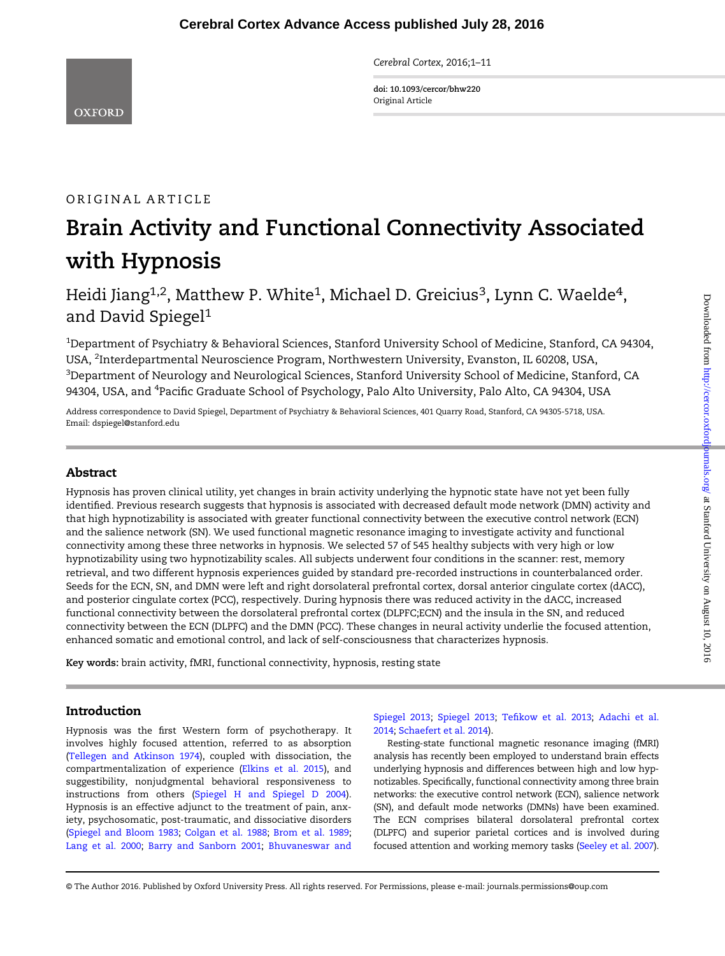Cerebral Cortex, 2016;1–11

doi: 10.1093/cercor/bhw220 Original Article

# ORIGINAL ARTICLE

# Brain Activity and Functional Connectivity Associated with Hypnosis

Heidi Jiang<sup>1,2</sup>, Matthew P. White<sup>1</sup>, Michael D. Greicius<sup>3</sup>, Lynn C. Waelde<sup>4</sup>, and David Spiegel<sup>1</sup>

 $^{\rm 1}$ Department of Psychiatry & Behavioral Sciences, Stanford University School of Medicine, Stanford, CA 94304, USA, <sup>2</sup>Interdepartmental Neuroscience Program, Northwestern University, Evanston, IL 60208, USA,  $^3$ Department of Neurology and Neurological Sciences, Stanford University School of Medicine, Stanford, CA 94304, USA, and <sup>4</sup>Pacific Graduate School of Psychology, Palo Alto University, Palo Alto, CA 94304, USA

Address correspondence to David Spiegel, Department of Psychiatry & Behavioral Sciences, 401 Quarry Road, Stanford, CA 94305-5718, USA. Email: dspiegel@stanford.edu

# Abstract

Hypnosis has proven clinical utility, yet changes in brain activity underlying the hypnotic state have not yet been fully identified. Previous research suggests that hypnosis is associated with decreased default mode network (DMN) activity and that high hypnotizability is associated with greater functional connectivity between the executive control network (ECN) and the salience network (SN). We used functional magnetic resonance imaging to investigate activity and functional connectivity among these three networks in hypnosis. We selected 57 of 545 healthy subjects with very high or low hypnotizability using two hypnotizability scales. All subjects underwent four conditions in the scanner: rest, memory retrieval, and two different hypnosis experiences guided by standard pre-recorded instructions in counterbalanced order. Seeds for the ECN, SN, and DMN were left and right dorsolateral prefrontal cortex, dorsal anterior cingulate cortex (dACC), and posterior cingulate cortex (PCC), respectively. During hypnosis there was reduced activity in the dACC, increased functional connectivity between the dorsolateral prefrontal cortex (DLPFC;ECN) and the insula in the SN, and reduced connectivity between the ECN (DLPFC) and the DMN (PCC). These changes in neural activity underlie the focused attention, enhanced somatic and emotional control, and lack of self-consciousness that characterizes hypnosis.

Key words: brain activity, fMRI, functional connectivity, hypnosis, resting state

# Introduction

Hypnosis was the first Western form of psychotherapy. It involves highly focused attention, referred to as absorption [\(Tellegen and Atkinson 1974\)](#page-10-0), coupled with dissociation, the compartmentalization of experience [\(Elkins et al. 2015](#page-9-0)), and suggestibility, nonjudgmental behavioral responsiveness to instructions from others ([Spiegel H and Spiegel D 2004\)](#page-10-0). Hypnosis is an effective adjunct to the treatment of pain, anxiety, psychosomatic, post-traumatic, and dissociative disorders [\(Spiegel and Bloom 1983](#page-10-0); [Colgan et al. 1988;](#page-9-0) [Brom et al. 1989;](#page-9-0) [Lang et al. 2000;](#page-9-0) [Barry and Sanborn 2001](#page-9-0); [Bhuvaneswar and](#page-9-0) [Spiegel 2013;](#page-9-0) [Spiegel](#page-10-0) 2013; Tefi[kow et al. 2013;](#page-10-0) [Adachi](#page-8-0) et al. [2014;](#page-8-0) [Schaefert et al. 2014\)](#page-10-0).

Resting-state functional magnetic resonance imaging (fMRI) analysis has recently been employed to understand brain effects underlying hypnosis and differences between high and low hypnotizables. Specifically, functional connectivity among three brain networks: the executive control network (ECN), salience network (SN), and default mode networks (DMNs) have been examined. The ECN comprises bilateral dorsolateral prefrontal cortex (DLPFC) and superior parietal cortices and is involved during focused attention and working memory tasks ([Seeley et al. 2007\)](#page-10-0).

© The Author 2016. Published by Oxford University Press. All rights reserved. For Permissions, please e-mail: journals.permissions@oup.com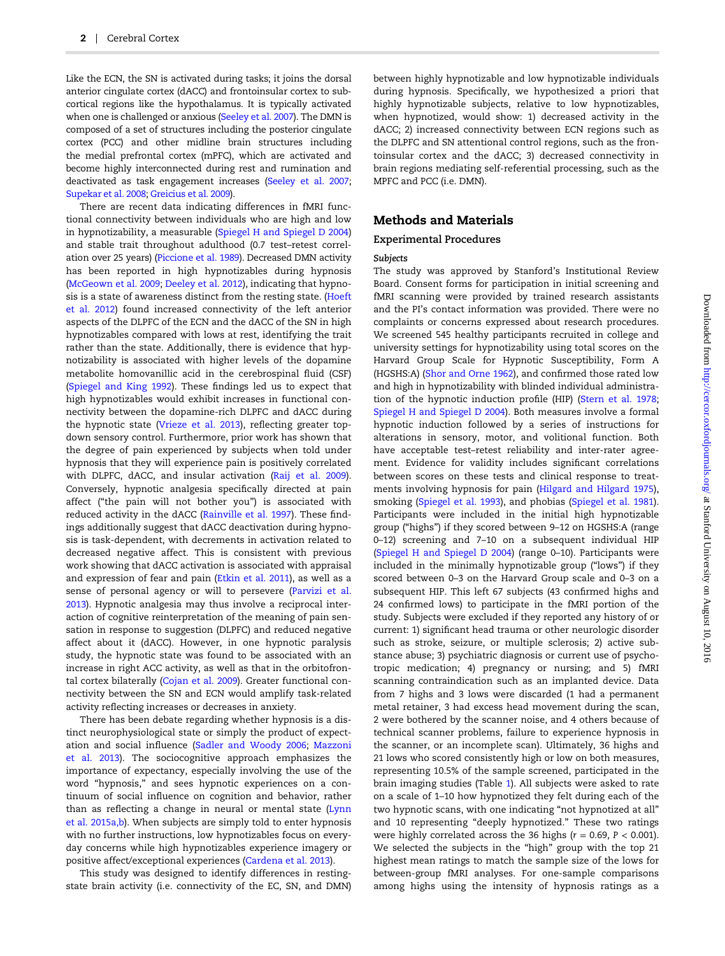Like the ECN, the SN is activated during tasks; it joins the dorsal anterior cingulate cortex (dACC) and frontoinsular cortex to subcortical regions like the hypothalamus. It is typically activated when one is challenged or anxious [\(Seeley et al. 2007](#page-10-0)). The DMN is composed of a set of structures including the posterior cingulate cortex (PCC) and other midline brain structures including the medial prefrontal cortex (mPFC), which are activated and become highly interconnected during rest and rumination and deactivated as task engagement increases [\(Seeley et al. 2007;](#page-10-0) [Supekar et al. 2008;](#page-10-0) [Greicius et al. 2009\)](#page-9-0).

There are recent data indicating differences in fMRI functional connectivity between individuals who are high and low in hypnotizability, a measurable ([Spiegel H and Spiegel D 2004\)](#page-10-0) and stable trait throughout adulthood (0.7 test–retest correlation over 25 years) ([Piccione et al. 1989](#page-10-0)). Decreased DMN activity has been reported in high hypnotizables during hypnosis [\(McGeown et al. 2009](#page-9-0); [Deeley et al. 2012\)](#page-9-0), indicating that hypnosis is a state of awareness distinct from the resting state. ([Hoeft](#page-9-0) [et al.](#page-9-0) 2012) found increased connectivity of the left anterior aspects of the DLPFC of the ECN and the dACC of the SN in high hypnotizables compared with lows at rest, identifying the trait rather than the state. Additionally, there is evidence that hypnotizability is associated with higher levels of the dopamine metabolite homovanillic acid in the cerebrospinal fluid (CSF) [\(Spiegel and King 1992\)](#page-10-0). These findings led us to expect that high hypnotizables would exhibit increases in functional connectivity between the dopamine-rich DLPFC and dACC during the hypnotic state [\(Vrieze et al. 2013\)](#page-10-0), reflecting greater topdown sensory control. Furthermore, prior work has shown that the degree of pain experienced by subjects when told under hypnosis that they will experience pain is positively correlated with DLPFC, dACC, and insular activation [\(Raij et al. 2009\)](#page-10-0). Conversely, hypnotic analgesia specifically directed at pain affect ("the pain will not bother you") is associated with reduced activity in the dACC [\(Rainville et al. 1997\)](#page-10-0). These findings additionally suggest that dACC deactivation during hypnosis is task-dependent, with decrements in activation related to decreased negative affect. This is consistent with previous work showing that dACC activation is associated with appraisal and expression of fear and pain ([Etkin et al. 2011](#page-9-0)), as well as a sense of personal agency or will to persevere [\(Parvizi et al.](#page-10-0) [2013\)](#page-10-0). Hypnotic analgesia may thus involve a reciprocal interaction of cognitive reinterpretation of the meaning of pain sensation in response to suggestion (DLPFC) and reduced negative affect about it (dACC). However, in one hypnotic paralysis study, the hypnotic state was found to be associated with an increase in right ACC activity, as well as that in the orbitofrontal cortex bilaterally [\(Cojan et al. 2009\)](#page-9-0). Greater functional connectivity between the SN and ECN would amplify task-related activity reflecting increases or decreases in anxiety.

There has been debate regarding whether hypnosis is a distinct neurophysiological state or simply the product of expectation and social influence [\(Sadler and Woody 2006](#page-10-0); [Mazzoni](#page-9-0) [et al.](#page-9-0) 2013). The sociocognitive approach emphasizes the importance of expectancy, especially involving the use of the word "hypnosis," and sees hypnotic experiences on a continuum of social influence on cognition and behavior, rather than as reflecting a change in neural or mental state ([Lynn](#page-9-0) et al. [2015a,b\)](#page-9-0). When subjects are simply told to enter hypnosis with no further instructions, low hypnotizables focus on everyday concerns while high hypnotizables experience imagery or positive affect/exceptional experiences [\(Cardena et al. 2013](#page-9-0)).

This study was designed to identify differences in restingstate brain activity (i.e. connectivity of the EC, SN, and DMN) between highly hypnotizable and low hypnotizable individuals during hypnosis. Specifically, we hypothesized a priori that highly hypnotizable subjects, relative to low hypnotizables, when hypnotized, would show: 1) decreased activity in the dACC; 2) increased connectivity between ECN regions such as the DLPFC and SN attentional control regions, such as the frontoinsular cortex and the dACC; 3) decreased connectivity in brain regions mediating self-referential processing, such as the MPFC and PCC (i.e. DMN).

## Methods and Materials

#### Experimental Procedures

## Subjects

The study was approved by Stanford's Institutional Review Board. Consent forms for participation in initial screening and fMRI scanning were provided by trained research assistants and the PI's contact information was provided. There were no complaints or concerns expressed about research procedures. We screened 545 healthy participants recruited in college and university settings for hypnotizability using total scores on the Harvard Group Scale for Hypnotic Susceptibility, Form A (HGSHS:A) ([Shor and Orne 1962\)](#page-10-0), and confirmed those rated low and high in hypnotizability with blinded individual administration of the hypnotic induction profile (HIP) ([Stern et al. 1978;](#page-10-0) [Spiegel H and Spiegel D 2004\)](#page-10-0). Both measures involve a formal hypnotic induction followed by a series of instructions for alterations in sensory, motor, and volitional function. Both have acceptable test–retest reliability and inter-rater agreement. Evidence for validity includes significant correlations between scores on these tests and clinical response to treatments involving hypnosis for pain ([Hilgard and Hilgard 1975\)](#page-9-0), smoking (Spiegel [et al. 1993](#page-10-0)), and phobias [\(Spiegel et al. 1981\)](#page-10-0). Participants were included in the initial high hypnotizable group ("highs") if they scored between 9–12 on HGSHS:A (range 0–12) screening and 7–10 on a subsequent individual HIP [\(Spiegel H and Spiegel D 2004](#page-10-0)) (range 0–10). Participants were included in the minimally hypnotizable group ("lows") if they scored between 0–3 on the Harvard Group scale and 0–3 on a subsequent HIP. This left 67 subjects (43 confirmed highs and 24 confirmed lows) to participate in the fMRI portion of the study. Subjects were excluded if they reported any history of or current: 1) significant head trauma or other neurologic disorder such as stroke, seizure, or multiple sclerosis; 2) active substance abuse; 3) psychiatric diagnosis or current use of psychotropic medication; 4) pregnancy or nursing; and 5) fMRI scanning contraindication such as an implanted device. Data from 7 highs and 3 lows were discarded (1 had a permanent metal retainer, 3 had excess head movement during the scan, 2 were bothered by the scanner noise, and 4 others because of technical scanner problems, failure to experience hypnosis in the scanner, or an incomplete scan). Ultimately, 36 highs and 21 lows who scored consistently high or low on both measures, representing 10.5% of the sample screened, participated in the brain imaging studies (Table [1\)](#page-2-0). All subjects were asked to rate on a scale of 1–10 how hypnotized they felt during each of the two hypnotic scans, with one indicating "not hypnotized at all" and 10 representing "deeply hypnotized." These two ratings were highly correlated across the 36 highs ( $r = 0.69$ ,  $P < 0.001$ ). We selected the subjects in the "high" group with the top 21 highest mean ratings to match the sample size of the lows for between-group fMRI analyses. For one-sample comparisons among highs using the intensity of hypnosis ratings as a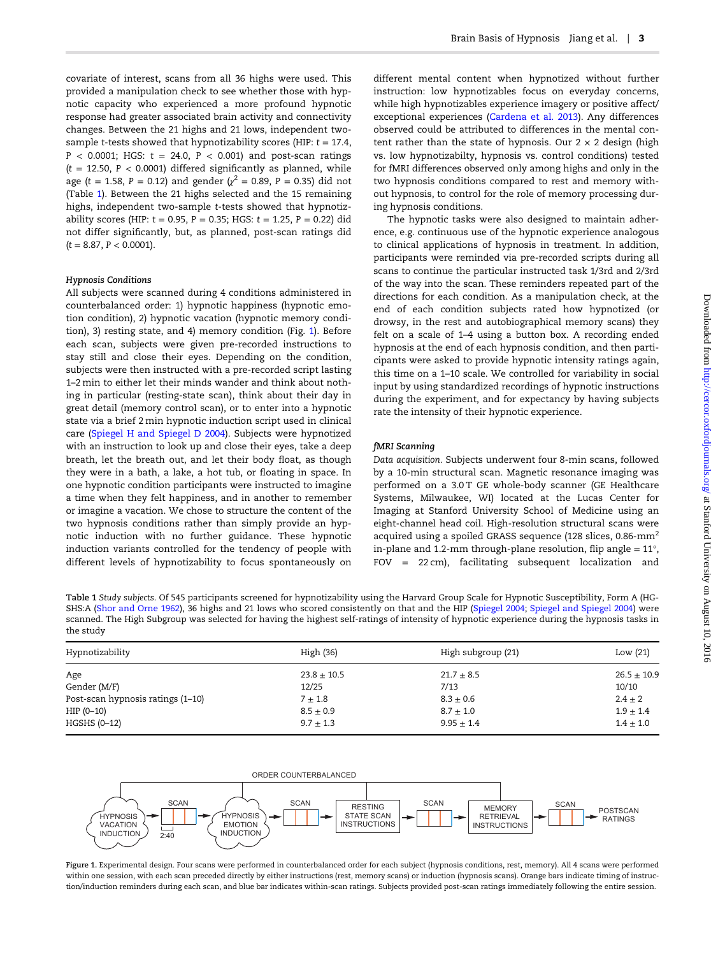<span id="page-2-0"></span>covariate of interest, scans from all 36 highs were used. This provided a manipulation check to see whether those with hypnotic capacity who experienced a more profound hypnotic response had greater associated brain activity and connectivity changes. Between the 21 highs and 21 lows, independent twosample t-tests showed that hypnotizability scores (HIP:  $t = 17.4$ ,  $P < 0.0001$ ; HGS:  $t = 24.0$ ,  $P < 0.001$ ) and post-scan ratings  $(t = 12.50, P < 0.0001)$  differed significantly as planned, while age (t = 1.58, P = 0.12) and gender ( $\chi^2$  = 0.89, P = 0.35) did not (Table 1). Between the 21 highs selected and the 15 remaining highs, independent two-sample t-tests showed that hypnotizability scores (HIP:  $t = 0.95$ ,  $P = 0.35$ ; HGS:  $t = 1.25$ ,  $P = 0.22$ ) did not differ significantly, but, as planned, post-scan ratings did  $(t = 8.87, P < 0.0001).$ 

#### Hypnosis Conditions

All subjects were scanned during 4 conditions administered in counterbalanced order: 1) hypnotic happiness (hypnotic emotion condition), 2) hypnotic vacation (hypnotic memory condition), 3) resting state, and 4) memory condition (Fig. 1). Before each scan, subjects were given pre-recorded instructions to stay still and close their eyes. Depending on the condition, subjects were then instructed with a pre-recorded script lasting 1–2 min to either let their minds wander and think about nothing in particular (resting-state scan), think about their day in great detail (memory control scan), or to enter into a hypnotic state via a brief 2 min hypnotic induction script used in clinical care ([Spiegel H and Spiegel D 2004](#page-10-0)). Subjects were hypnotized with an instruction to look up and close their eyes, take a deep breath, let the breath out, and let their body float, as though they were in a bath, a lake, a hot tub, or floating in space. In one hypnotic condition participants were instructed to imagine a time when they felt happiness, and in another to remember or imagine a vacation. We chose to structure the content of the two hypnosis conditions rather than simply provide an hypnotic induction with no further guidance. These hypnotic induction variants controlled for the tendency of people with different levels of hypnotizability to focus spontaneously on

different mental content when hypnotized without further instruction: low hypnotizables focus on everyday concerns, while high hypnotizables experience imagery or positive affect/ exceptional experiences [\(Cardena et al. 2013\)](#page-9-0). Any differences observed could be attributed to differences in the mental content rather than the state of hypnosis. Our  $2 \times 2$  design (high vs. low hypnotizabilty, hypnosis vs. control conditions) tested for fMRI differences observed only among highs and only in the two hypnosis conditions compared to rest and memory without hypnosis, to control for the role of memory processing during hypnosis conditions.

The hypnotic tasks were also designed to maintain adherence, e.g. continuous use of the hypnotic experience analogous to clinical applications of hypnosis in treatment. In addition, participants were reminded via pre-recorded scripts during all scans to continue the particular instructed task 1/3rd and 2/3rd of the way into the scan. These reminders repeated part of the directions for each condition. As a manipulation check, at the end of each condition subjects rated how hypnotized (or drowsy, in the rest and autobiographical memory scans) they felt on a scale of 1–4 using a button box. A recording ended hypnosis at the end of each hypnosis condition, and then participants were asked to provide hypnotic intensity ratings again, this time on a 1–10 scale. We controlled for variability in social input by using standardized recordings of hypnotic instructions during the experiment, and for expectancy by having subjects rate the intensity of their hypnotic experience.

#### fMRI Scanning

Data acquisition. Subjects underwent four 8-min scans, followed by a 10-min structural scan. Magnetic resonance imaging was performed on a 3.0 T GE whole-body scanner (GE Healthcare Systems, Milwaukee, WI) located at the Lucas Center for Imaging at Stanford University School of Medicine using an eight-channel head coil. High-resolution structural scans were acquired using a spoiled GRASS sequence (128 slices, 0.86-mm<sup>2</sup> in-plane and 1.2-mm through-plane resolution, flip angle =  $11^{\circ}$ , FOV = 22 cm), facilitating subsequent localization and

Table 1 Study subjects. Of 545 participants screened for hypnotizability using the Harvard Group Scale for Hypnotic Susceptibility, Form A (HG-SHS:A [\(Shor and Orne 1962](#page-10-0)), 36 highs and 21 lows who scored consistently on that and the HIP ([Spiegel 2004](#page-10-0); [Spiegel and Spiegel 2004\)](#page-10-0) were scanned. The High Subgroup was selected for having the highest self-ratings of intensity of hypnotic experience during the hypnosis tasks in the study

| Hypnotizability                   | High(36)        | High subgroup (21) | Low $(21)$      |  |
|-----------------------------------|-----------------|--------------------|-----------------|--|
|                                   |                 |                    |                 |  |
| Age                               | $23.8 \pm 10.5$ | $21.7 \pm 8.5$     | $26.5 \pm 10.9$ |  |
| Gender (M/F)                      | 12/25           | 7/13               | 10/10           |  |
| Post-scan hypnosis ratings (1–10) | $7 \pm 1.8$     | $8.3 \pm 0.6$      | $2.4 \pm 2$     |  |
| $HIP (0-10)$                      | $8.5 \pm 0.9$   | $8.7 \pm 1.0$      | $1.9 \pm 1.4$   |  |
| HGSHS (0-12)                      | $9.7 \pm 1.3$   | $9.95 \pm 1.4$     | $1.4 \pm 1.0$   |  |



Figure 1. Experimental design. Four scans were performed in counterbalanced order for each subject (hypnosis conditions, rest, memory). All 4 scans were performed within one session, with each scan preceded directly by either instructions (rest, memory scans) or induction (hypnosis scans). Orange bars indicate timing of instruction/induction reminders during each scan, and blue bar indicates within-scan ratings. Subjects provided post-scan ratings immediately following the entire session.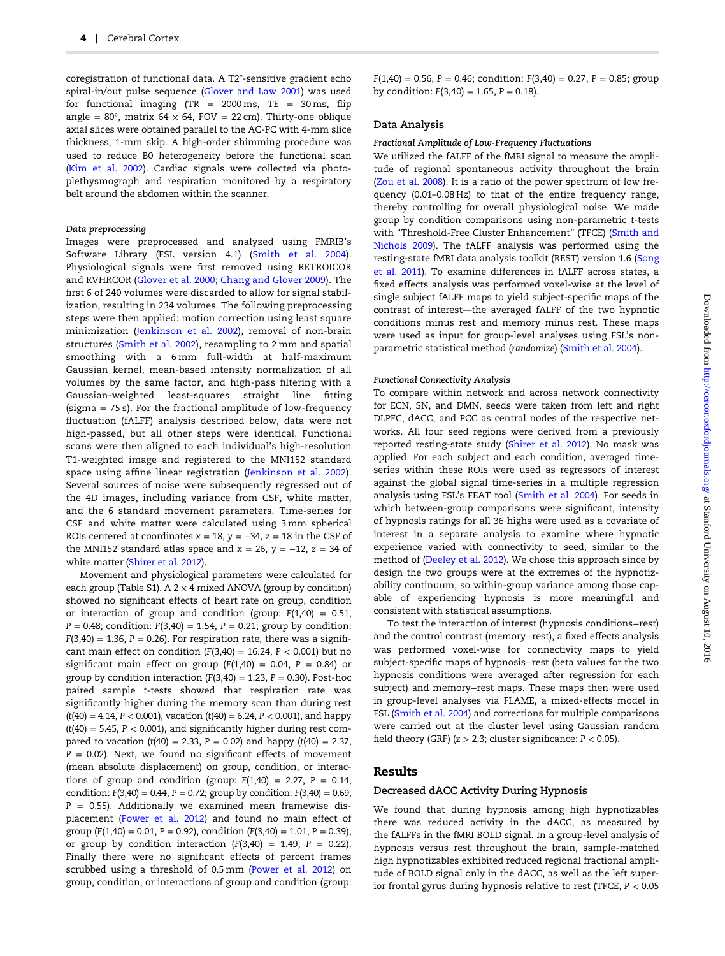coregistration of functional data. A T2\*-sensitive gradient echo spiral-in/out pulse sequence [\(Glover and Law 2001\)](#page-9-0) was used for functional imaging (TR =  $2000 \text{ ms}$ , TE =  $30 \text{ ms}$ , flip angle =  $80^\circ$ , matrix  $64 \times 64$ ,  $FOV = 22$  cm). Thirty-one oblique axial slices were obtained parallel to the AC-PC with 4-mm slice thickness, 1-mm skip. A high-order shimming procedure was used to reduce B0 heterogeneity before the functional scan [\(Kim et al. 2002](#page-9-0)). Cardiac signals were collected via photoplethysmograph and respiration monitored by a respiratory belt around the abdomen within the scanner.

#### Data preprocessing

Images were preprocessed and analyzed using FMRIB's Software Library (FSL version 4.1) ([Smith et al. 2004\)](#page-10-0). Physiological signals were first removed using RETROICOR and RVHRCOR [\(Glover et al. 2000](#page-9-0); [Chang and Glover 2009\)](#page-9-0). The first 6 of 240 volumes were discarded to allow for signal stabilization, resulting in 234 volumes. The following preprocessing steps were then applied: motion correction using least square minimization ([Jenkinson et al. 2002](#page-9-0)), removal of non-brain structures [\(Smith et al. 2002\)](#page-10-0), resampling to 2 mm and spatial smoothing with a 6 mm full-width at half-maximum Gaussian kernel, mean-based intensity normalization of all volumes by the same factor, and high-pass filtering with a Gaussian-weighted least-squares straight line fitting (sigma  $= 75$  s). For the fractional amplitude of low-frequency fluctuation (fALFF) analysis described below, data were not high-passed, but all other steps were identical. Functional scans were then aligned to each individual's high-resolution T1-weighted image and registered to the MNI152 standard space using affine linear registration ([Jenkinson et al. 2002\)](#page-9-0). Several sources of noise were subsequently regressed out of the 4D images, including variance from CSF, white matter, and the 6 standard movement parameters. Time-series for CSF and white matter were calculated using 3 mm spherical ROIs centered at coordinates  $x = 18$ ,  $y = -34$ ,  $z = 18$  in the CSF of the MNI152 standard atlas space and  $x = 26$ ,  $y = -12$ ,  $z = 34$  of white matter [\(Shirer et al. 2012\)](#page-10-0).

Movement and physiological parameters were calculated for each group [\(Table S1](http://CERCOR.oxfordjournals.org/lookup/suppl/doi:10.1093/cercor/bhw220/-/DC1)). A 2  $\times$  4 mixed ANOVA (group by condition) showed no significant effects of heart rate on group, condition or interaction of group and condition (group:  $F(1,40) = 0.51$ ,  $P = 0.48$ ; condition:  $F(3,40) = 1.54$ ,  $P = 0.21$ ; group by condition:  $F(3,40) = 1.36$ ,  $P = 0.26$ ). For respiration rate, there was a significant main effect on condition  $(F(3,40) = 16.24, P < 0.001)$  but no significant main effect on group  $(F(1,40) = 0.04, P = 0.84)$  or group by condition interaction  $(F(3,40) = 1.23, P = 0.30)$ . Post-hoc paired sample t-tests showed that respiration rate was significantly higher during the memory scan than during rest  $(t(40) = 4.14, P < 0.001)$ , vacation  $(t(40) = 6.24, P < 0.001)$ , and happy  $(t(40) = 5.45, P < 0.001)$ , and significantly higher during rest compared to vacation (t(40) = 2.33, P = 0.02) and happy (t(40) = 2.37,  $P = 0.02$ ). Next, we found no significant effects of movement (mean absolute displacement) on group, condition, or interactions of group and condition (group:  $F(1,40) = 2.27$ ,  $P = 0.14$ ; condition:  $F(3,40) = 0.44$ ,  $P = 0.72$ ; group by condition:  $F(3,40) = 0.69$ ,  $P = 0.55$ ). Additionally we examined mean framewise displacement ([Power et al. 2012](#page-10-0)) and found no main effect of group  $(F(1,40) = 0.01, P = 0.92)$ , condition  $(F(3,40) = 1.01, P = 0.39)$ , or group by condition interaction  $(F(3,40) = 1.49, P = 0.22)$ . Finally there were no significant effects of percent frames scrubbed using a threshold of 0.5 mm [\(Power et al. 2012](#page-10-0)) on group, condition, or interactions of group and condition (group:  $F(1,40) = 0.56$ ,  $P = 0.46$ ; condition:  $F(3,40) = 0.27$ ,  $P = 0.85$ ; group by condition:  $F(3,40) = 1.65$ ,  $P = 0.18$ ).

#### Data Analysis

#### Fractional Amplitude of Low-Frequency Fluctuations

We utilized the fALFF of the fMRI signal to measure the amplitude of regional spontaneous activity throughout the brain [\(Zou et al. 2008\)](#page-10-0). It is a ratio of the power spectrum of low frequency (0.01–0.08 Hz) to that of the entire frequency range, thereby controlling for overall physiological noise. We made group by condition comparisons using non-parametric t-tests with "Threshold-Free Cluster Enhancement" (TFCE) [\(Smith and](#page-10-0) [Nichols 2009\)](#page-10-0). The fALFF analysis was performed using the resting-state fMRI data analysis toolkit (REST) version 1.6 ([Song](#page-10-0) [et al.](#page-10-0) 2011). To examine differences in fALFF across states, a fixed effects analysis was performed voxel-wise at the level of single subject fALFF maps to yield subject-specific maps of the contrast of interest—the averaged fALFF of the two hypnotic conditions minus rest and memory minus rest. These maps were used as input for group-level analyses using FSL's nonparametric statistical method (randomize) [\(Smith et al. 2004\)](#page-10-0).

#### Functional Connectivity Analysis

To compare within network and across network connectivity for ECN, SN, and DMN, seeds were taken from left and right DLPFC, dACC, and PCC as central nodes of the respective networks. All four seed regions were derived from a previously reported resting-state study [\(Shirer et al. 2012\)](#page-10-0). No mask was applied. For each subject and each condition, averaged timeseries within these ROIs were used as regressors of interest against the global signal time-series in a multiple regression analysis using FSL's FEAT tool [\(Smith et al. 2004](#page-10-0)). For seeds in which between-group comparisons were significant, intensity of hypnosis ratings for all 36 highs were used as a covariate of interest in a separate analysis to examine where hypnotic experience varied with connectivity to seed, similar to the method of ([Deeley et al. 2012\)](#page-9-0). We chose this approach since by design the two groups were at the extremes of the hypnotizability continuum, so within-group variance among those capable of experiencing hypnosis is more meaningful and consistent with statistical assumptions.

To test the interaction of interest (hypnosis conditions−rest) and the control contrast (memory−rest), a fixed effects analysis was performed voxel-wise for connectivity maps to yield subject-specific maps of hypnosis−rest (beta values for the two hypnosis conditions were averaged after regression for each subject) and memory−rest maps. These maps then were used in group-level analyses via FLAME, a mixed-effects model in FSL [\(Smith et al. 2004\)](#page-10-0) and corrections for multiple comparisons were carried out at the cluster level using Gaussian random field theory (GRF) ( $z > 2.3$ ; cluster significance:  $P < 0.05$ ).

## Results

## Decreased dACC Activity During Hypnosis

We found that during hypnosis among high hypnotizables there was reduced activity in the dACC, as measured by the fALFFs in the fMRI BOLD signal. In a group-level analysis of hypnosis versus rest throughout the brain, sample-matched high hypnotizables exhibited reduced regional fractional amplitude of BOLD signal only in the dACC, as well as the left superior frontal gyrus during hypnosis relative to rest (TFCE, P < 0.05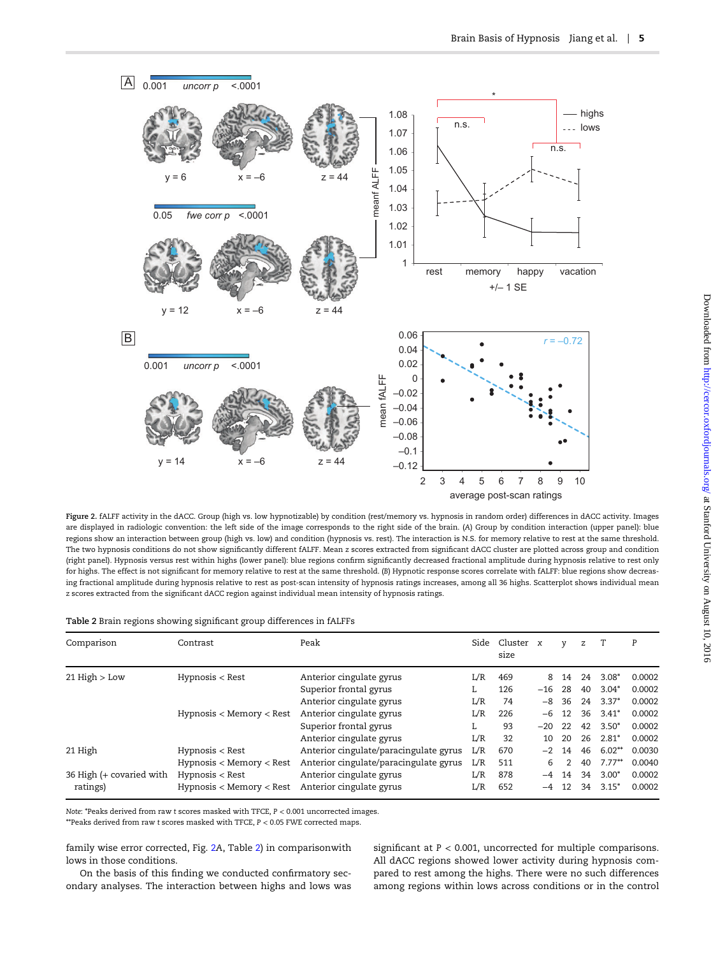<span id="page-4-0"></span>

Figure 2. fALFF activity in the dACC. Group (high vs. low hypnotizable) by condition (rest/memory vs. hypnosis in random order) differences in dACC activity. Images are displayed in radiologic convention: the left side of the image corresponds to the right side of the brain. (A) Group by condition interaction (upper panel): blue regions show an interaction between group (high vs. low) and condition (hypnosis vs. rest). The interaction is N.S. for memory relative to rest at the same threshold. The two hypnosis conditions do not show significantly different fALFF. Mean z scores extracted from significant dACC cluster are plotted across group and condition (right panel). Hypnosis versus rest within highs (lower panel): blue regions confirm significantly decreased fractional amplitude during hypnosis relative to rest only for highs. The effect is not significant for memory relative to rest at the same threshold. (B) Hypnotic response scores correlate with fALFF: blue regions show decreasing fractional amplitude during hypnosis relative to rest as post-scan intensity of hypnosis ratings increases, among all 36 highs. Scatterplot shows individual mean z scores extracted from the significant dACC region against individual mean intensity of hypnosis ratings.

|  |  | Table 2 Brain regions showing significant group differences in fALFFs |  |
|--|--|-----------------------------------------------------------------------|--|
|--|--|-----------------------------------------------------------------------|--|

| Comparison               | Contrast                     | Peak                                   |     | Side Cluster x<br>size |       | V  | z  |           | P      |
|--------------------------|------------------------------|----------------------------------------|-----|------------------------|-------|----|----|-----------|--------|
| $21$ High $>$ Low        | $Hypnosis <$ Rest            | Anterior cingulate gyrus               | L/R | 469                    | 8     | 14 | 24 | $3.08*$   | 0.0002 |
|                          |                              | Superior frontal gyrus                 | L.  | 126                    | $-16$ | 28 | 40 | $3.04*$   | 0.0002 |
|                          |                              | Anterior cingulate gyrus               | L/R | 74                     | -8    | 36 | 24 | $3.37*$   | 0.0002 |
|                          | Hypnosis $<$ Memory $<$ Rest | Anterior cingulate gyrus               | L/R | 226                    | -6    | 12 |    | 36 3.41*  | 0.0002 |
|                          |                              | Superior frontal gyrus                 |     | 93                     | $-20$ | 22 | 42 | $3.50*$   | 0.0002 |
|                          |                              | Anterior cingulate gyrus               | L/R | 32                     | 10    | 20 |    | 26 2.81*  | 0.0002 |
| 21 High                  | $Hypnosis <$ Rest            | Anterior cingulate/paracingulate gyrus | L/R | 670                    | $-2$  | 14 |    | 46 6.02** | 0.0030 |
|                          | Hypnosis < Memory < Rest     | Anterior cingulate/paracingulate gyrus | L/R | 511                    | 6     |    | 40 | $7.77**$  | 0.0040 |
| 36 High (+ covaried with | $Hypnosis <$ Rest            | Anterior cingulate gyrus               | L/R | 878                    | $-4$  | 14 | 34 | $3.00*$   | 0.0002 |
| ratings)                 | Hypnosis < Memory < Rest     | Anterior cingulate gyrus               | L/R | 652                    | $-4$  | 12 | 34 | $3.15*$   | 0.0002 |

Note: \*Peaks derived from raw t scores masked with TFCE, P < 0.001 uncorrected images.

\*\*Peaks derived from raw t scores masked with TFCE, P < 0.05 FWE corrected maps.

family wise error corrected, Fig. 2A, Table 2) in comparisonwith lows in those conditions.

On the basis of this finding we conducted confirmatory secondary analyses. The interaction between highs and lows was significant at  $P < 0.001$ , uncorrected for multiple comparisons. All dACC regions showed lower activity during hypnosis compared to rest among the highs. There were no such differences among regions within lows across conditions or in the control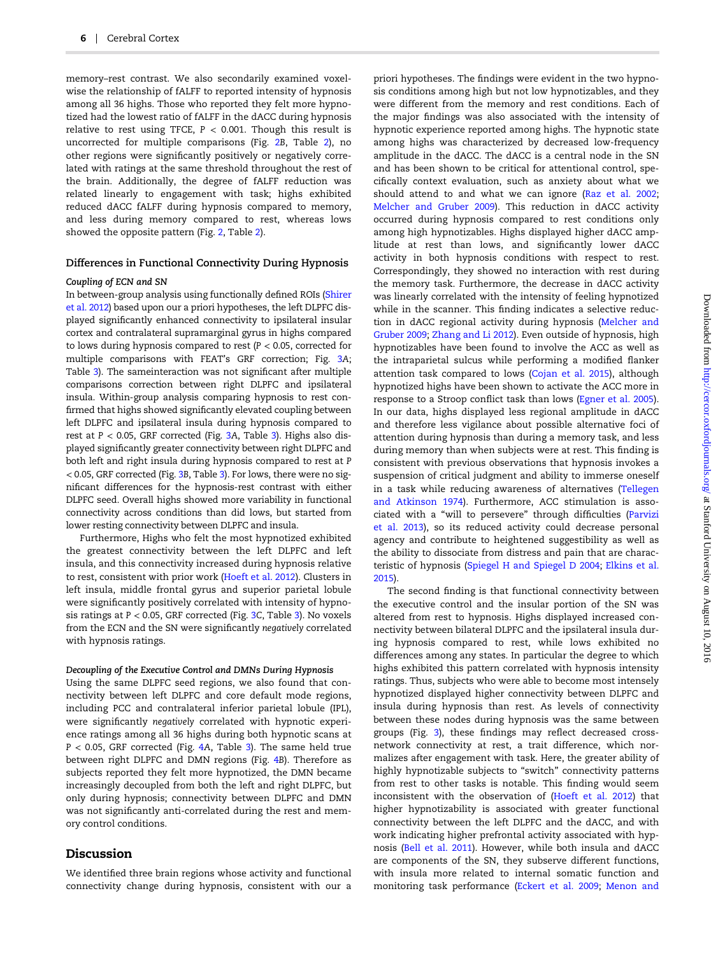memory–rest contrast. We also secondarily examined voxelwise the relationship of fALFF to reported intensity of hypnosis among all 36 highs. Those who reported they felt more hypnotized had the lowest ratio of fALFF in the dACC during hypnosis relative to rest using TFCE,  $P < 0.001$ . Though this result is uncorrected for multiple comparisons (Fig. [2](#page-4-0)B, Table [2](#page-4-0)), no other regions were significantly positively or negatively correlated with ratings at the same threshold throughout the rest of the brain. Additionally, the degree of fALFF reduction was related linearly to engagement with task; highs exhibited reduced dACC fALFF during hypnosis compared to memory, and less during memory compared to rest, whereas lows showed the opposite pattern (Fig. [2,](#page-4-0) Table [2](#page-4-0)).

#### Differences in Functional Connectivity During Hypnosis

#### Coupling of ECN and SN

In between-group analysis using functionally defined ROIs [\(Shirer](#page-10-0) [et al. 2012](#page-10-0)) based upon our a priori hypotheses, the left DLPFC displayed significantly enhanced connectivity to ipsilateral insular cortex and contralateral supramarginal gyrus in highs compared to lows during hypnosis compared to rest ( $P < 0.05$ , corrected for multiple comparisons with FEAT's GRF correction; Fig. [3](#page-6-0)A; Table [3\)](#page-7-0). The sameinteraction was not significant after multiple comparisons correction between right DLPFC and ipsilateral insula. Within-group analysis comparing hypnosis to rest confirmed that highs showed significantly elevated coupling between left DLPFC and ipsilateral insula during hypnosis compared to rest at  $P < 0.05$ , GRF corrected (Fig. [3](#page-7-0)A, Table 3). Highs also displayed significantly greater connectivity between right DLPFC and both left and right insula during hypnosis compared to rest at P < 0.05, GRF corrected (Fig. [3](#page-6-0)B, Table [3\)](#page-7-0). For lows, there were no significant differences for the hypnosis-rest contrast with either DLPFC seed. Overall highs showed more variability in functional connectivity across conditions than did lows, but started from lower resting connectivity between DLPFC and insula.

Furthermore, Highs who felt the most hypnotized exhibited the greatest connectivity between the left DLPFC and left insula, and this connectivity increased during hypnosis relative to rest, consistent with prior work [\(Hoeft et al. 2012](#page-9-0)). Clusters in left insula, middle frontal gyrus and superior parietal lobule were significantly positively correlated with intensity of hypnosis ratings at  $P < 0.05$ , GRF corrected (Fig. [3](#page-7-0)C, Table 3). No voxels from the ECN and the SN were significantly negatively correlated with hypnosis ratings.

#### Decoupling of the Executive Control and DMNs During Hypnosis

Using the same DLPFC seed regions, we also found that connectivity between left DLPFC and core default mode regions, including PCC and contralateral inferior parietal lobule (IPL), were significantly negatively correlated with hypnotic experience ratings among all 36 highs during both hypnotic scans at  $P < 0.05$ , GRF corrected (Fig. [4](#page-8-0)A, Table [3\)](#page-7-0). The same held true between right DLPFC and DMN regions (Fig. [4](#page-8-0)B). Therefore as subjects reported they felt more hypnotized, the DMN became increasingly decoupled from both the left and right DLPFC, but only during hypnosis; connectivity between DLPFC and DMN was not significantly anti-correlated during the rest and memory control conditions.

## Discussion

We identified three brain regions whose activity and functional connectivity change during hypnosis, consistent with our a

priori hypotheses. The findings were evident in the two hypnosis conditions among high but not low hypnotizables, and they were different from the memory and rest conditions. Each of the major findings was also associated with the intensity of hypnotic experience reported among highs. The hypnotic state among highs was characterized by decreased low-frequency amplitude in the dACC. The dACC is a central node in the SN and has been shown to be critical for attentional control, specifically context evaluation, such as anxiety about what we should attend to and what we can ignore [\(Raz et al. 2002;](#page-10-0) [Melcher and Gruber 2009](#page-9-0)). This reduction in dACC activity occurred during hypnosis compared to rest conditions only among high hypnotizables. Highs displayed higher dACC amplitude at rest than lows, and significantly lower dACC activity in both hypnosis conditions with respect to rest. Correspondingly, they showed no interaction with rest during the memory task. Furthermore, the decrease in dACC activity was linearly correlated with the intensity of feeling hypnotized while in the scanner. This finding indicates a selective reduction in dACC regional activity during hypnosis ([Melcher and](#page-9-0) [Gruber 2009;](#page-9-0) Zhang [and Li 2012\)](#page-10-0). Even outside of hypnosis, high hypnotizables have been found to involve the ACC as well as the intraparietal sulcus while performing a modified flanker attention task compared to lows ([Cojan et al. 2015](#page-9-0)), although hypnotized highs have been shown to activate the ACC more in response to a Stroop conflict task than lows ([Egner et al. 2005\)](#page-9-0). In our data, highs displayed less regional amplitude in dACC and therefore less vigilance about possible alternative foci of attention during hypnosis than during a memory task, and less during memory than when subjects were at rest. This finding is consistent with previous observations that hypnosis invokes a suspension of critical judgment and ability to immerse oneself in a task while reducing awareness of alternatives ([Tellegen](#page-10-0) [and Atkinson](#page-10-0) 1974). Furthermore, ACC stimulation is associated with a "will to persevere" through difficulties [\(Parvizi](#page-10-0) [et al.](#page-10-0) 2013), so its reduced activity could decrease personal agency and contribute to heightened suggestibility as well as the ability to dissociate from distress and pain that are characteristic of hypnosis ([Spiegel H and Spiegel D 2004;](#page-10-0) [Elkins et al.](#page-9-0) [2015\)](#page-9-0).

The second finding is that functional connectivity between the executive control and the insular portion of the SN was altered from rest to hypnosis. Highs displayed increased connectivity between bilateral DLPFC and the ipsilateral insula during hypnosis compared to rest, while lows exhibited no differences among any states. In particular the degree to which highs exhibited this pattern correlated with hypnosis intensity ratings. Thus, subjects who were able to become most intensely hypnotized displayed higher connectivity between DLPFC and insula during hypnosis than rest. As levels of connectivity between these nodes during hypnosis was the same between groups (Fig. [3\)](#page-6-0), these findings may reflect decreased crossnetwork connectivity at rest, a trait difference, which normalizes after engagement with task. Here, the greater ability of highly hypnotizable subjects to "switch" connectivity patterns from rest to other tasks is notable. This finding would seem inconsistent with the observation of ([Hoeft et al. 2012](#page-9-0)) that higher hypnotizability is associated with greater functional connectivity between the left DLPFC and the dACC, and with work indicating higher prefrontal activity associated with hypnosis ([Bell et al. 2011\)](#page-9-0). However, while both insula and dACC are components of the SN, they subserve different functions, with insula more related to internal somatic function and monitoring task performance ([Eckert et al. 2009;](#page-9-0) [Menon and](#page-9-0)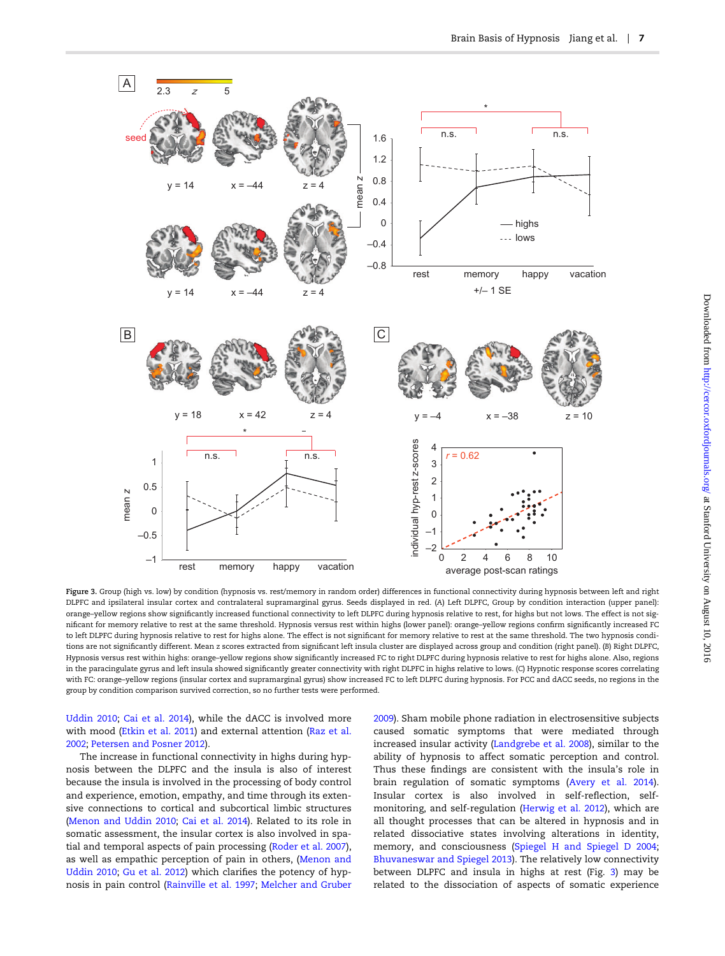<span id="page-6-0"></span>

Figure 3. Group (high vs. low) by condition (hypnosis vs. rest/memory in random order) differences in functional connectivity during hypnosis between left and right DLPFC and ipsilateral insular cortex and contralateral supramarginal gyrus. Seeds displayed in red. (A) Left DLPFC, Group by condition interaction (upper panel): orange–yellow regions show significantly increased functional connectivity to left DLPFC during hypnosis relative to rest, for highs but not lows. The effect is not significant for memory relative to rest at the same threshold. Hypnosis versus rest within highs (lower panel): orange–yellow regions confirm significantly increased FC to left DLPFC during hypnosis relative to rest for highs alone. The effect is not significant for memory relative to rest at the same threshold. The two hypnosis conditions are not significantly different. Mean z scores extracted from significant left insula cluster are displayed across group and condition (right panel). (B) Right DLPFC, Hypnosis versus rest within highs: orange–yellow regions show significantly increased FC to right DLPFC during hypnosis relative to rest for highs alone. Also, regions in the paracingulate gyrus and left insula showed significantly greater connectivity with right DLPFC in highs relative to lows. (C) Hypnotic response scores correlating with FC: orange–yellow regions (insular cortex and supramarginal gyrus) show increased FC to left DLPFC during hypnosis. For PCC and dACC seeds, no regions in the group by condition comparison survived correction, so no further tests were performed.

[Uddin 2010](#page-9-0); [Cai et al. 2014\)](#page-9-0), while the dACC is involved more with mood ([Etkin et al. 2011](#page-9-0)) and external attention ([Raz et al.](#page-10-0) [2002;](#page-10-0) [Petersen and Posner 2012\)](#page-10-0).

The increase in functional connectivity in highs during hypnosis between the DLPFC and the insula is also of interest because the insula is involved in the processing of body control and experience, emotion, empathy, and time through its extensive connections to cortical and subcortical limbic structures [\(Menon and Uddin 2010](#page-9-0); [Cai et al. 2014\)](#page-9-0). Related to its role in somatic assessment, the insular cortex is also involved in spatial and temporal aspects of pain processing ([Roder et al. 2007\)](#page-10-0), as well as empathic perception of pain in others, [\(Menon and](#page-9-0) [Uddin 2010;](#page-9-0) Gu [et al. 2012\)](#page-9-0) which clarifies the potency of hypnosis in pain control ([Rainville et al. 1997](#page-10-0); [Melcher and Gruber](#page-9-0)

[2009\)](#page-9-0). Sham mobile phone radiation in electrosensitive subjects caused somatic symptoms that were mediated through increased insular activity [\(Landgrebe et al. 2008\)](#page-9-0), similar to the ability of hypnosis to affect somatic perception and control. Thus these findings are consistent with the insula's role in brain regulation of somatic symptoms [\(Avery et al. 2014\)](#page-8-0). Insular cortex is also involved in self-reflection, selfmonitoring, and self-regulation [\(Herwig et al. 2012](#page-9-0)), which are all thought processes that can be altered in hypnosis and in related dissociative states involving alterations in identity, memory, and consciousness ([Spiegel H and Spiegel D 2004;](#page-10-0) [Bhuvaneswar and Spiegel 2013\)](#page-9-0). The relatively low connectivity between DLPFC and insula in highs at rest (Fig. 3) may be related to the dissociation of aspects of somatic experience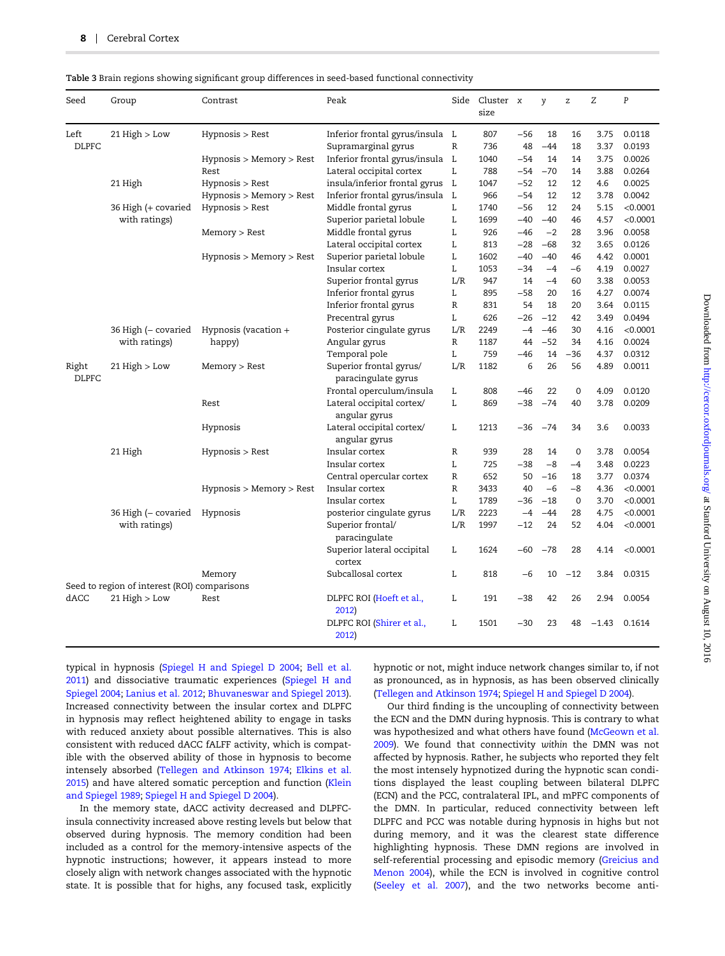<span id="page-7-0"></span>

| Table 3 Brain regions showing significant group differences in seed-based functional connectivity |  |  |  |
|---------------------------------------------------------------------------------------------------|--|--|--|
|                                                                                                   |  |  |  |

| Seed                  | Group                                        | Contrast                 | Peak                                           |              | Side Cluster x<br>size |       | y     | Z           | Ζ       | $\, {\bf P}$ |
|-----------------------|----------------------------------------------|--------------------------|------------------------------------------------|--------------|------------------------|-------|-------|-------------|---------|--------------|
| Left                  | 21 High > Low                                | Hypnosis > Rest          | Inferior frontal gyrus/insula L                |              | 807                    | $-56$ | 18    | 16          | 3.75    | 0.0118       |
| <b>DLPFC</b>          |                                              |                          | Supramarginal gyrus                            | $\mathbb{R}$ | 736                    | 48    | $-44$ | 18          | 3.37    | 0.0193       |
|                       |                                              | Hypnosis > Memory > Rest | Inferior frontal gyrus/insula L                |              | 1040                   | $-54$ | 14    | 14          | 3.75    | 0.0026       |
|                       |                                              | Rest                     | Lateral occipital cortex                       | L            | 788                    | -54   | $-70$ | 14          | 3.88    | 0.0264       |
|                       | 21 High                                      | Hypnosis > Rest          | insula/inferior frontal gyrus                  | L            | 1047                   | $-52$ | 12    | 12          | 4.6     | 0.0025       |
|                       |                                              | Hypnosis > Memory > Rest | Inferior frontal gyrus/insula                  | L            | 966                    | $-54$ | 12    | 12          | 3.78    | 0.0042       |
|                       | 36 High (+ covaried                          | Hypnosis > Rest          | Middle frontal gyrus                           | L            | 1740                   | $-56$ | 12    | 24          | 5.15    | < 0.0001     |
|                       | with ratings)                                |                          | Superior parietal lobule                       | L            | 1699                   | $-40$ | $-40$ | 46          | 4.57    | < 0.0001     |
|                       |                                              | Memory > Rest            | Middle frontal gyrus                           | L            | 926                    | $-46$ | $-2$  | 28          | 3.96    | 0.0058       |
|                       |                                              |                          | Lateral occipital cortex                       | L            | 813                    | $-28$ | $-68$ | 32          | 3.65    | 0.0126       |
|                       |                                              | Hypnosis > Memory > Rest | Superior parietal lobule                       | L            | 1602                   | $-40$ | $-40$ | 46          | 4.42    | 0.0001       |
|                       |                                              |                          | Insular cortex                                 | L            | 1053                   | $-34$ | $-4$  | $-6$        | 4.19    | 0.0027       |
|                       |                                              |                          | Superior frontal gyrus                         | L/R          | 947                    | 14    | $-4$  | 60          | 3.38    | 0.0053       |
|                       |                                              |                          | Inferior frontal gyrus                         | L            | 895                    | $-58$ | 20    | 16          | 4.27    | 0.0074       |
|                       |                                              |                          | Inferior frontal gyrus                         | $\mathbb{R}$ | 831                    | 54    | 18    | 20          | 3.64    | 0.0115       |
|                       |                                              |                          | Precentral gyrus                               | L            | 626                    | $-26$ | $-12$ | 42          | 3.49    | 0.0494       |
|                       | 36 High (- covaried<br>with ratings)         | Hypnosis (vacation $+$   | Posterior cingulate gyrus                      | L/R          | 2249                   | $-4$  | $-46$ | 30          | 4.16    | < 0.0001     |
|                       |                                              | happy)                   | Angular gyrus                                  | R            | 1187                   | 44    | $-52$ | 34          | 4.16    | 0.0024       |
|                       |                                              |                          | Temporal pole                                  | L            | 759                    | $-46$ | 14    | $-36$       | 4.37    | 0.0312       |
| Right<br><b>DLPFC</b> | $21$ High $>$ Low                            | Memory > Rest            | Superior frontal gyrus/<br>paracingulate gyrus | L/R          | 1182                   | 6     | 26    | 56          | 4.89    | 0.0011       |
|                       |                                              |                          | Frontal operculum/insula                       | L            | 808                    | $-46$ | 22    | $\mathbf 0$ | 4.09    | 0.0120       |
|                       |                                              | Rest                     | Lateral occipital cortex/<br>angular gyrus     | $\mathbf{L}$ | 869                    | $-38$ | $-74$ | 40          | 3.78    | 0.0209       |
|                       |                                              | Hypnosis                 | Lateral occipital cortex/<br>angular gyrus     | L            | 1213                   | $-36$ | $-74$ | 34          | 3.6     | 0.0033       |
|                       | 21 High                                      | Hypnosis > Rest          | Insular cortex                                 | $\mathbb{R}$ | 939                    | 28    | 14    | $\mathbf 0$ | 3.78    | 0.0054       |
|                       |                                              |                          | Insular cortex                                 | L            | 725                    | $-38$ | $-8$  | $-4$        | 3.48    | 0.0223       |
|                       |                                              |                          | Central opercular cortex                       | $\mathbb{R}$ | 652                    | 50    | $-16$ | 18          | 3.77    | 0.0374       |
|                       |                                              | Hypnosis > Memory > Rest | Insular cortex                                 | $\mathbb{R}$ | 3433                   | 40    | $-6$  | $-8$        | 4.36    | < 0.0001     |
|                       |                                              |                          | Insular cortex                                 | L            | 1789                   | $-36$ | $-18$ | $\mathbf 0$ | 3.70    | < 0.0001     |
|                       | 36 High (- covaried<br>with ratings)         | Hypnosis                 | posterior cingulate gyrus                      | L/R          | 2223                   | $-4$  | $-44$ | 28          | 4.75    | < 0.0001     |
|                       |                                              |                          | Superior frontal/<br>paracingulate             | L/R          | 1997                   | $-12$ | 24    | 52          | 4.04    | < 0.0001     |
|                       |                                              |                          | Superior lateral occipital<br>cortex           | L            | 1624                   | $-60$ | $-78$ | 28          | 4.14    | < 0.0001     |
|                       |                                              | Memory                   | Subcallosal cortex                             | L            | 818                    | $-6$  | 10    | $-12$       | 3.84    | 0.0315       |
|                       | Seed to region of interest (ROI) comparisons |                          |                                                |              |                        |       |       |             |         |              |
| dACC                  | $21$ High $>$ Low                            | Rest                     | DLPFC ROI (Hoeft et al.,<br>2012)              | L            | 191                    | $-38$ | 42    | 26          | 2.94    | 0.0054       |
|                       |                                              |                          | DLPFC ROI (Shirer et al.,<br>2012)             | L            | 1501                   | $-30$ | 23    | 48          | $-1.43$ | 0.1614       |

typical in hypnosis ([Spiegel H and Spiegel D 2004;](#page-10-0) [Bell et al.](#page-9-0) [2011\)](#page-9-0) and dissociative traumatic experiences [\(Spiegel H and](#page-10-0) [Spiegel 2004;](#page-10-0) Lanius [et al. 2012](#page-9-0); [Bhuvaneswar and Spiegel 2013\)](#page-9-0). Increased connectivity between the insular cortex and DLPFC in hypnosis may reflect heightened ability to engage in tasks with reduced anxiety about possible alternatives. This is also consistent with reduced dACC fALFF activity, which is compatible with the observed ability of those in hypnosis to become intensely absorbed ([Tellegen and Atkinson 1974](#page-10-0); [Elkins et al.](#page-9-0) [2015\)](#page-9-0) and have altered somatic perception and function ([Klein](#page-9-0) [and Spiegel](#page-9-0) 1989; [Spiegel H and Spiegel D 2004\)](#page-10-0).

In the memory state, dACC activity decreased and DLPFCinsula connectivity increased above resting levels but below that observed during hypnosis. The memory condition had been included as a control for the memory-intensive aspects of the hypnotic instructions; however, it appears instead to more closely align with network changes associated with the hypnotic state. It is possible that for highs, any focused task, explicitly

hypnotic or not, might induce network changes similar to, if not as pronounced, as in hypnosis, as has been observed clinically [\(Tellegen and Atkinson 1974](#page-10-0); [Spiegel H and Spiegel D 2004](#page-10-0)).

Our third finding is the uncoupling of connectivity between the ECN and the DMN during hypnosis. This is contrary to what was hypothesized and what others have found ([McGeown et al.](#page-9-0) [2009\)](#page-9-0). We found that connectivity within the DMN was not affected by hypnosis. Rather, he subjects who reported they felt the most intensely hypnotized during the hypnotic scan conditions displayed the least coupling between bilateral DLPFC (ECN) and the PCC, contralateral IPL, and mPFC components of the DMN. In particular, reduced connectivity between left DLPFC and PCC was notable during hypnosis in highs but not during memory, and it was the clearest state difference highlighting hypnosis. These DMN regions are involved in self-referential processing and episodic memory [\(Greicius and](#page-9-0) [Menon 2004](#page-9-0)), while the ECN is involved in cognitive control [\(Seeley et al. 2007](#page-10-0)), and the two networks become anti-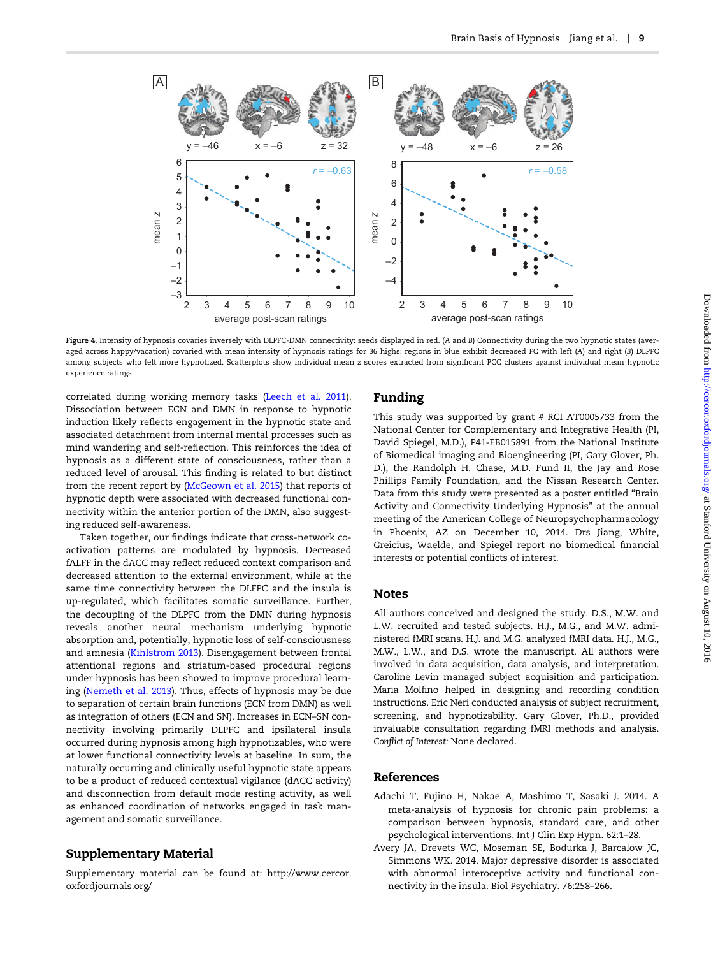<span id="page-8-0"></span>

Figure 4. Intensity of hypnosis covaries inversely with DLPFC-DMN connectivity: seeds displayed in red. (A and B) Connectivity during the two hypnotic states (averaged across happy/vacation) covaried with mean intensity of hypnosis ratings for 36 highs: regions in blue exhibit decreased FC with left (A) and right (B) DLPFC among subjects who felt more hypnotized. Scatterplots show individual mean z scores extracted from significant PCC clusters against individual mean hypnotic experience ratings.

correlated during working memory tasks ([Leech et al. 2011\)](#page-9-0). Dissociation between ECN and DMN in response to hypnotic induction likely reflects engagement in the hypnotic state and associated detachment from internal mental processes such as mind wandering and self-reflection. This reinforces the idea of hypnosis as a different state of consciousness, rather than a reduced level of arousal. This finding is related to but distinct from the recent report by [\(McGeown et al. 2015](#page-9-0)) that reports of hypnotic depth were associated with decreased functional connectivity within the anterior portion of the DMN, also suggesting reduced self-awareness.

Taken together, our findings indicate that cross-network coactivation patterns are modulated by hypnosis. Decreased fALFF in the dACC may reflect reduced context comparison and decreased attention to the external environment, while at the same time connectivity between the DLFPC and the insula is up-regulated, which facilitates somatic surveillance. Further, the decoupling of the DLPFC from the DMN during hypnosis reveals another neural mechanism underlying hypnotic absorption and, potentially, hypnotic loss of self-consciousness and amnesia ([Kihlstrom 2013\)](#page-9-0). Disengagement between frontal attentional regions and striatum-based procedural regions under hypnosis has been showed to improve procedural learning ([Nemeth et al. 2013\)](#page-9-0). Thus, effects of hypnosis may be due to separation of certain brain functions (ECN from DMN) as well as integration of others (ECN and SN). Increases in ECN–SN connectivity involving primarily DLPFC and ipsilateral insula occurred during hypnosis among high hypnotizables, who were at lower functional connectivity levels at baseline. In sum, the naturally occurring and clinically useful hypnotic state appears to be a product of reduced contextual vigilance (dACC activity) and disconnection from default mode resting activity, as well as enhanced coordination of networks engaged in task management and somatic surveillance.

# Supplementary Material

[Supplementary material can be found at: http://www.cercor.](http://CERCOR.oxfordjournals.org/lookup/suppl/doi:10.1093/cercor/bhw220/-/DC1) [oxfordjournals.org/](http://CERCOR.oxfordjournals.org/lookup/suppl/doi:10.1093/cercor/bhw220/-/DC1)

## Funding

This study was supported by grant # RCI AT0005733 from the National Center for Complementary and Integrative Health (PI, David Spiegel, M.D.), P41-EB015891 from the National Institute of Biomedical imaging and Bioengineering (PI, Gary Glover, Ph. D.), the Randolph H. Chase, M.D. Fund II, the Jay and Rose Phillips Family Foundation, and the Nissan Research Center. Data from this study were presented as a poster entitled "Brain Activity and Connectivity Underlying Hypnosis" at the annual meeting of the American College of Neuropsychopharmacology in Phoenix, AZ on December 10, 2014. Drs Jiang, White, Greicius, Waelde, and Spiegel report no biomedical financial interests or potential conflicts of interest.

## Notes

All authors conceived and designed the study. D.S., M.W. and L.W. recruited and tested subjects. H.J., M.G., and M.W. administered fMRI scans. H.J. and M.G. analyzed fMRI data. H.J., M.G., M.W., L.W., and D.S. wrote the manuscript. All authors were involved in data acquisition, data analysis, and interpretation. Caroline Levin managed subject acquisition and participation. Maria Molfino helped in designing and recording condition instructions. Eric Neri conducted analysis of subject recruitment, screening, and hypnotizability. Gary Glover, Ph.D., provided invaluable consultation regarding fMRI methods and analysis. Conflict of Interest: None declared.

## References

- Adachi T, Fujino H, Nakae A, Mashimo T, Sasaki J. 2014. A meta-analysis of hypnosis for chronic pain problems: a comparison between hypnosis, standard care, and other psychological interventions. Int J Clin Exp Hypn. 62:1–28.
- Avery JA, Drevets WC, Moseman SE, Bodurka J, Barcalow JC, Simmons WK. 2014. Major depressive disorder is associated with abnormal interoceptive activity and functional connectivity in the insula. Biol Psychiatry. 76:258–266.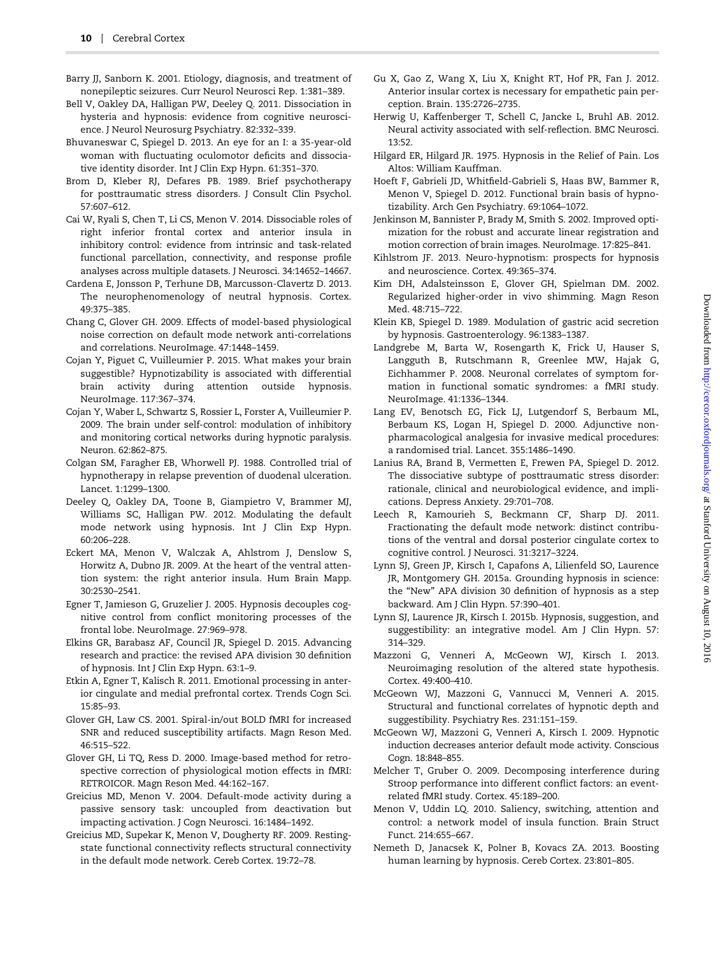- <span id="page-9-0"></span>Barry JJ, Sanborn K. 2001. Etiology, diagnosis, and treatment of nonepileptic seizures. Curr Neurol Neurosci Rep. 1:381–389.
- Bell V, Oakley DA, Halligan PW, Deeley Q. 2011. Dissociation in hysteria and hypnosis: evidence from cognitive neuroscience. J Neurol Neurosurg Psychiatry. 82:332–339.
- Bhuvaneswar C, Spiegel D. 2013. An eye for an I: a 35-year-old woman with fluctuating oculomotor deficits and dissociative identity disorder. Int J Clin Exp Hypn. 61:351–370.
- Brom D, Kleber RJ, Defares PB. 1989. Brief psychotherapy for posttraumatic stress disorders. J Consult Clin Psychol. 57:607–612.
- Cai W, Ryali S, Chen T, Li CS, Menon V. 2014. Dissociable roles of right inferior frontal cortex and anterior insula in inhibitory control: evidence from intrinsic and task-related functional parcellation, connectivity, and response profile analyses across multiple datasets. J Neurosci. 34:14652–14667.
- Cardena E, Jonsson P, Terhune DB, Marcusson-Clavertz D. 2013. The neurophenomenology of neutral hypnosis. Cortex. 49:375–385.
- Chang C, Glover GH. 2009. Effects of model-based physiological noise correction on default mode network anti-correlations and correlations. NeuroImage. 47:1448–1459.
- Cojan Y, Piguet C, Vuilleumier P. 2015. What makes your brain suggestible? Hypnotizability is associated with differential brain activity during attention outside hypnosis. NeuroImage. 117:367–374.
- Cojan Y, Waber L, Schwartz S, Rossier L, Forster A, Vuilleumier P. 2009. The brain under self-control: modulation of inhibitory and monitoring cortical networks during hypnotic paralysis. Neuron. 62:862–875.
- Colgan SM, Faragher EB, Whorwell PJ. 1988. Controlled trial of hypnotherapy in relapse prevention of duodenal ulceration. Lancet. 1:1299–1300.
- Deeley Q, Oakley DA, Toone B, Giampietro V, Brammer MJ, Williams SC, Halligan PW. 2012. Modulating the default mode network using hypnosis. Int J Clin Exp Hypn. 60:206–228.
- Eckert MA, Menon V, Walczak A, Ahlstrom J, Denslow S, Horwitz A, Dubno JR. 2009. At the heart of the ventral attention system: the right anterior insula. Hum Brain Mapp. 30:2530–2541.
- Egner T, Jamieson G, Gruzelier J. 2005. Hypnosis decouples cognitive control from conflict monitoring processes of the frontal lobe. NeuroImage. 27:969–978.
- Elkins GR, Barabasz AF, Council JR, Spiegel D. 2015. Advancing research and practice: the revised APA division 30 definition of hypnosis. Int J Clin Exp Hypn. 63:1–9.
- Etkin A, Egner T, Kalisch R. 2011. Emotional processing in anterior cingulate and medial prefrontal cortex. Trends Cogn Sci. 15:85–93.
- Glover GH, Law CS. 2001. Spiral-in/out BOLD fMRI for increased SNR and reduced susceptibility artifacts. Magn Reson Med. 46:515–522.
- Glover GH, Li TQ, Ress D. 2000. Image-based method for retrospective correction of physiological motion effects in fMRI: RETROICOR. Magn Reson Med. 44:162–167.
- Greicius MD, Menon V. 2004. Default-mode activity during a passive sensory task: uncoupled from deactivation but impacting activation. J Cogn Neurosci. 16:1484–1492.
- Greicius MD, Supekar K, Menon V, Dougherty RF. 2009. Restingstate functional connectivity reflects structural connectivity in the default mode network. Cereb Cortex. 19:72–78.
- Gu X, Gao Z, Wang X, Liu X, Knight RT, Hof PR, Fan J. 2012. Anterior insular cortex is necessary for empathetic pain perception. Brain. 135:2726–2735.
- Herwig U, Kaffenberger T, Schell C, Jancke L, Bruhl AB. 2012. Neural activity associated with self-reflection. BMC Neurosci. 13:52.
- Hilgard ER, Hilgard JR. 1975. Hypnosis in the Relief of Pain. Los Altos: William Kauffman.
- Hoeft F, Gabrieli JD, Whitfield-Gabrieli S, Haas BW, Bammer R, Menon V, Spiegel D. 2012. Functional brain basis of hypnotizability. Arch Gen Psychiatry. 69:1064–1072.
- Jenkinson M, Bannister P, Brady M, Smith S. 2002. Improved optimization for the robust and accurate linear registration and motion correction of brain images. NeuroImage. 17:825–841.
- Kihlstrom JF. 2013. Neuro-hypnotism: prospects for hypnosis and neuroscience. Cortex. 49:365–374.
- Kim DH, Adalsteinsson E, Glover GH, Spielman DM. 2002. Regularized higher-order in vivo shimming. Magn Reson Med. 48:715–722.
- Klein KB, Spiegel D. 1989. Modulation of gastric acid secretion by hypnosis. Gastroenterology. 96:1383–1387.
- Landgrebe M, Barta W, Rosengarth K, Frick U, Hauser S, Langguth B, Rutschmann R, Greenlee MW, Hajak G, Eichhammer P. 2008. Neuronal correlates of symptom formation in functional somatic syndromes: a fMRI study. NeuroImage. 41:1336–1344.
- Lang EV, Benotsch EG, Fick LJ, Lutgendorf S, Berbaum ML, Berbaum KS, Logan H, Spiegel D. 2000. Adjunctive nonpharmacological analgesia for invasive medical procedures: a randomised trial. Lancet. 355:1486–1490.
- Lanius RA, Brand B, Vermetten E, Frewen PA, Spiegel D. 2012. The dissociative subtype of posttraumatic stress disorder: rationale, clinical and neurobiological evidence, and implications. Depress Anxiety. 29:701–708.
- Leech R, Kamourieh S, Beckmann CF, Sharp DJ. 2011. Fractionating the default mode network: distinct contributions of the ventral and dorsal posterior cingulate cortex to cognitive control. J Neurosci. 31:3217–3224.
- Lynn SJ, Green JP, Kirsch I, Capafons A, Lilienfeld SO, Laurence JR, Montgomery GH. 2015a. Grounding hypnosis in science: the "New" APA division 30 definition of hypnosis as a step backward. Am J Clin Hypn. 57:390–401.
- Lynn SJ, Laurence JR, Kirsch I. 2015b. Hypnosis, suggestion, and suggestibility: an integrative model. Am J Clin Hypn. 57: 314–329.
- Mazzoni G, Venneri A, McGeown WJ, Kirsch I. 2013. Neuroimaging resolution of the altered state hypothesis. Cortex. 49:400–410.
- McGeown WJ, Mazzoni G, Vannucci M, Venneri A. 2015. Structural and functional correlates of hypnotic depth and suggestibility. Psychiatry Res. 231:151–159.
- McGeown WJ, Mazzoni G, Venneri A, Kirsch I. 2009. Hypnotic induction decreases anterior default mode activity. Conscious Cogn. 18:848–855.
- Melcher T, Gruber O. 2009. Decomposing interference during Stroop performance into different conflict factors: an eventrelated fMRI study. Cortex. 45:189–200.
- Menon V, Uddin LQ. 2010. Saliency, switching, attention and control: a network model of insula function. Brain Struct Funct. 214:655–667.
- Nemeth D, Janacsek K, Polner B, Kovacs ZA. 2013. Boosting human learning by hypnosis. Cereb Cortex. 23:801–805.